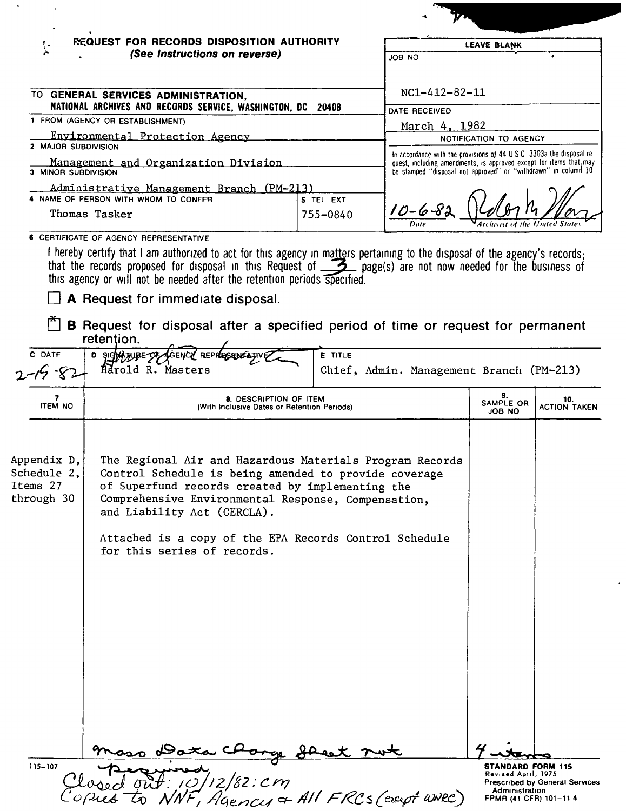| REQUEST FOR RECORDS DISPOSITION AUTHORITY<br>(See Instructions on reverse)<br>TO GENERAL SERVICES ADMINISTRATION,<br>NATIONAL ARCHIVES AND RECORDS SERVICE, WASHINGTON, DC 20408                                                                                                                                                                                                                             |                                                                                                                                      | JOB NO                                                                                                                                                            | <b>LEAVE BLANK</b>                                                                                               |                                                                                                                                                                                                                                                                                                                                                                                                               |  |
|--------------------------------------------------------------------------------------------------------------------------------------------------------------------------------------------------------------------------------------------------------------------------------------------------------------------------------------------------------------------------------------------------------------|--------------------------------------------------------------------------------------------------------------------------------------|-------------------------------------------------------------------------------------------------------------------------------------------------------------------|------------------------------------------------------------------------------------------------------------------|---------------------------------------------------------------------------------------------------------------------------------------------------------------------------------------------------------------------------------------------------------------------------------------------------------------------------------------------------------------------------------------------------------------|--|
|                                                                                                                                                                                                                                                                                                                                                                                                              |                                                                                                                                      |                                                                                                                                                                   |                                                                                                                  |                                                                                                                                                                                                                                                                                                                                                                                                               |  |
|                                                                                                                                                                                                                                                                                                                                                                                                              |                                                                                                                                      | NC1-412-82-11                                                                                                                                                     |                                                                                                                  |                                                                                                                                                                                                                                                                                                                                                                                                               |  |
|                                                                                                                                                                                                                                                                                                                                                                                                              | DATE RECEIVED<br>1 FROM (AGENCY OR ESTABLISHMENT)                                                                                    |                                                                                                                                                                   |                                                                                                                  |                                                                                                                                                                                                                                                                                                                                                                                                               |  |
| Environmental Protection Agency<br>2 MAJOR SUBDIVISION                                                                                                                                                                                                                                                                                                                                                       |                                                                                                                                      |                                                                                                                                                                   | March 4, 1982<br>NOTIFICATION TO AGENCY<br>In accordance with the provisions of 44 U.S.C. 3303a the disposal re- |                                                                                                                                                                                                                                                                                                                                                                                                               |  |
|                                                                                                                                                                                                                                                                                                                                                                                                              |                                                                                                                                      |                                                                                                                                                                   |                                                                                                                  |                                                                                                                                                                                                                                                                                                                                                                                                               |  |
| Management and Organization Division<br>3 MINOR SUBDIVISION                                                                                                                                                                                                                                                                                                                                                  |                                                                                                                                      | quest, including amendments, is approved except for items that may<br>be stamped "disposal not approved" or "withdrawn" in column 10                              |                                                                                                                  |                                                                                                                                                                                                                                                                                                                                                                                                               |  |
|                                                                                                                                                                                                                                                                                                                                                                                                              |                                                                                                                                      |                                                                                                                                                                   |                                                                                                                  |                                                                                                                                                                                                                                                                                                                                                                                                               |  |
| Thomas Tasker                                                                                                                                                                                                                                                                                                                                                                                                |                                                                                                                                      | $10 - 6 - 8$                                                                                                                                                      |                                                                                                                  |                                                                                                                                                                                                                                                                                                                                                                                                               |  |
|                                                                                                                                                                                                                                                                                                                                                                                                              |                                                                                                                                      |                                                                                                                                                                   |                                                                                                                  |                                                                                                                                                                                                                                                                                                                                                                                                               |  |
| A Request for immediate disposal.                                                                                                                                                                                                                                                                                                                                                                            |                                                                                                                                      |                                                                                                                                                                   |                                                                                                                  |                                                                                                                                                                                                                                                                                                                                                                                                               |  |
|                                                                                                                                                                                                                                                                                                                                                                                                              |                                                                                                                                      |                                                                                                                                                                   |                                                                                                                  |                                                                                                                                                                                                                                                                                                                                                                                                               |  |
| Harold R. Masters                                                                                                                                                                                                                                                                                                                                                                                            |                                                                                                                                      |                                                                                                                                                                   |                                                                                                                  |                                                                                                                                                                                                                                                                                                                                                                                                               |  |
|                                                                                                                                                                                                                                                                                                                                                                                                              | 8. DESCRIPTION OF ITEM<br>(With Inclusive Dates or Retention Periods)                                                                |                                                                                                                                                                   |                                                                                                                  | 10.<br><b>ACTION TAKEN</b>                                                                                                                                                                                                                                                                                                                                                                                    |  |
| Appendix D,<br>The Regional Air and Hazardous Materials Program Records<br>Schedule 2,<br>Control Schedule is being amended to provide coverage<br>Items 27<br>of Superfund records created by implementing the<br>through 30<br>Comprehensive Environmental Response, Compensation,<br>and Liability Act (CERCLA).<br>Attached is a copy of the EPA Records Control Schedule<br>for this series of records. |                                                                                                                                      |                                                                                                                                                                   |                                                                                                                  |                                                                                                                                                                                                                                                                                                                                                                                                               |  |
|                                                                                                                                                                                                                                                                                                                                                                                                              |                                                                                                                                      |                                                                                                                                                                   |                                                                                                                  |                                                                                                                                                                                                                                                                                                                                                                                                               |  |
|                                                                                                                                                                                                                                                                                                                                                                                                              | 4 NAME OF PERSON WITH WHOM TO CONFER<br>6 CERTIFICATE OF AGENCY REPRESENTATIVE<br>retention.<br>D SIGNATURE OF AGENCY REPRESENTATIVE | <u> Administrative Management Branch (PM-213)</u><br>5 TEL EXT<br>755-0840<br>this agency or will not be needed after the retention periods specified.<br>E TITLE |                                                                                                                  | I hereby certify that I am authorized to act for this agency in matters pertaining to the disposal of the agency's records;<br>that the records proposed for disposal in this Request of 5 page(s) are not now needed for the business of<br><b>B</b> Request for disposal after a specified period of time or request for permanent<br>Chief, Admin. Management Branch (PM-213)<br>9.<br>SAMPLE OR<br>OU 8OL |  |

 $C_0$  $P$ *ied* to  $N$ *NF*,  $A$ gency  $\alpha$  All FRCs (except w.v.RC) FPMR (41 CFR) 101-114

 $\hat{\mathbf{r}}$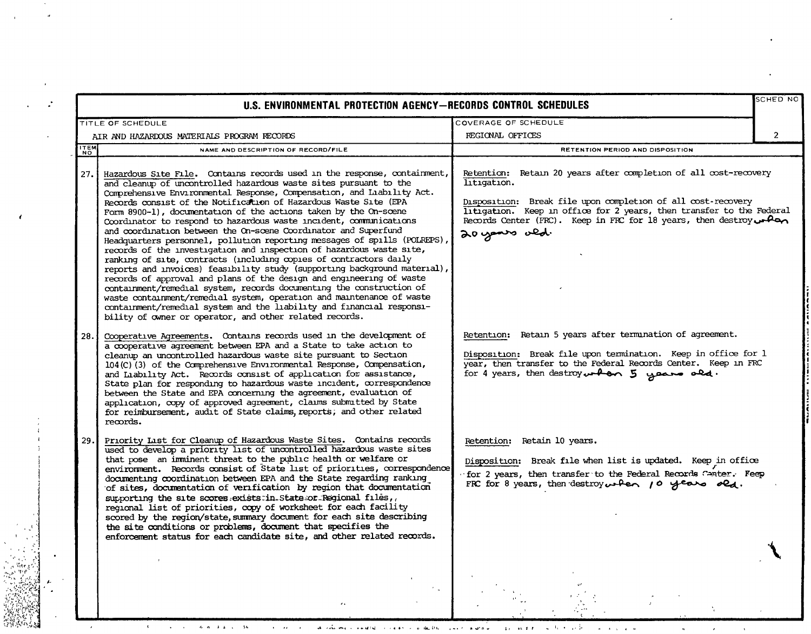|             | U.S. ENVIRONMENTAL PROTECTION AGENCY-RECORDS CONTROL SCHEDULES                                                                                                                                                                                                                                                                                                                                                                                                                                                                                                                                                                                                                                                                                                                                                                                                                                                                                                                                                                                                                                                                                                               |                                                                                                                                                                                                                                                                                                                           | SCHED NO       |  |
|-------------|------------------------------------------------------------------------------------------------------------------------------------------------------------------------------------------------------------------------------------------------------------------------------------------------------------------------------------------------------------------------------------------------------------------------------------------------------------------------------------------------------------------------------------------------------------------------------------------------------------------------------------------------------------------------------------------------------------------------------------------------------------------------------------------------------------------------------------------------------------------------------------------------------------------------------------------------------------------------------------------------------------------------------------------------------------------------------------------------------------------------------------------------------------------------------|---------------------------------------------------------------------------------------------------------------------------------------------------------------------------------------------------------------------------------------------------------------------------------------------------------------------------|----------------|--|
|             | COVERAGE OF SCHEDULE<br>TITLE OF SCHEDULE                                                                                                                                                                                                                                                                                                                                                                                                                                                                                                                                                                                                                                                                                                                                                                                                                                                                                                                                                                                                                                                                                                                                    |                                                                                                                                                                                                                                                                                                                           |                |  |
|             | AIR AND HAZARDOUS MATERIALS PROGRAM RECORDS                                                                                                                                                                                                                                                                                                                                                                                                                                                                                                                                                                                                                                                                                                                                                                                                                                                                                                                                                                                                                                                                                                                                  | REGIONAL OFFICES                                                                                                                                                                                                                                                                                                          | $\overline{2}$ |  |
| <b>ITEM</b> | NAME AND DESCRIPTION OF RECORD/FILE                                                                                                                                                                                                                                                                                                                                                                                                                                                                                                                                                                                                                                                                                                                                                                                                                                                                                                                                                                                                                                                                                                                                          | RETENTION PERIOD AND DISPOSITION                                                                                                                                                                                                                                                                                          |                |  |
| 27.         | Hazardous Site File. Contains records used in the response, containment,<br>and cleanup of uncontrolled hazardous waste sites pursuant to the<br>Comprehensive Environmental Response, Compensation, and Liability Act.<br>Records consist of the Notification of Hazardous Waste Site (EPA<br>Form 8900-1), documentation of the actions taken by the On-scene<br>Coordinator to respond to hazardous waste incident, communications<br>and coordination between the On-scene Coordinator and Superfund<br>Headquarters personnel, pollution reporting messages of spills (POLREPS),<br>records of the investigation and inspection of hazardous waste site,<br>ranking of site, contracts (including copies of contractors daily<br>reports and invoices) feasibility study (supporting background material),<br>records of approval and plans of the design and engineering of waste<br>containment/remedial system, records documenting the construction of<br>waste containment/remedial system, operation and maintenance of waste<br>containment/remedial system and the liability and financial responsi-<br>bility of owner or operator, and other related records. | Retention: Retain 20 years after completion of all cost-recovery<br>litigation.<br>Disposition: Break file upon completion of all cost-recovery<br>litigation. Keep in office for 2 years, then transfer to the Federal<br>Records Center (FRC). Keep in FRC for 18 years, then destroy $\leftarrow$ Pan<br>20 years ald. |                |  |
| 28.         | Cooperative Agreements. Contains records used in the development of<br>a cooperative agreement between EPA and a State to take action to<br>cleanup an uncontrolled hazardous waste site pursuant to Section<br>104(C)(3) of the Comprehensive Environmental Response, Compensation,<br>and Liability Act. Records consist of application for assistance,<br>State plan for responding to hazardous waste incident, correspondence<br>between the State and EPA concerning the agreement, evaluation of<br>application, copy of approved agreement, claims submitted by State<br>for reimbursement, audit of State claims, reports; and other related<br>records.                                                                                                                                                                                                                                                                                                                                                                                                                                                                                                            | Retention: Retain 5 years after termination of agreement.<br>Disposition: Break file upon termination. Keep in office for 1<br>year, then transfer to the Federal Records Center. Keep in FRC<br>for 4 years, then destroy $\nu$ -ban 5 years old.                                                                        |                |  |
| 29.         | Priority List for Cleanup of Hazardous Waste Sites. Contains records<br>used to develop a priority list of uncontrolled hazardous waste sites<br>that pose an imminent threat to the public health or welfare or<br>environment. Records consist of State list of priorities, correspondence<br>documenting coordination between EPA and the State regarding ranking<br>of sites, documentation of verification by region that documentation<br>supporting the site scores exists in State or Regional files,<br>regional list of priorities, copy of worksheet for each facility<br>scored by the region/state, summary document for each site describing<br>the site conditions or problems, document that specifies the<br>enforcement status for each candidate site, and other related records.                                                                                                                                                                                                                                                                                                                                                                         | Retention: Retain 10 years.<br>Disposition: Break file when list is updated. Keep in office<br>for 2 years, then transfer to the Federal Records Canter. Feep<br>FRC for 8 years, then destroy when $10$ years old.                                                                                                       |                |  |
|             |                                                                                                                                                                                                                                                                                                                                                                                                                                                                                                                                                                                                                                                                                                                                                                                                                                                                                                                                                                                                                                                                                                                                                                              |                                                                                                                                                                                                                                                                                                                           |                |  |

 $\mathcal{O}(\frac{1}{\epsilon^2})$ 

 $\mathbf{1}_{\mathbf{1}}$ 

 $\mathbf{u}$  and  $\mathbf{r}$ 

 $\bar{\Gamma}$ 

 $\mathbf{a} = \mathbf{a} \cdot \mathbf{a} + \mathbf{a} \cdot \mathbf{a}$ 

 $\hat{\mathbf{a}}$ 

 $\mathcal{L}_{\mathcal{A}}$ 

 $\bar{\mathbf{v}}$ 

 $\alpha\beta\gamma$ nga<br>Ka 

 $\begin{picture}(20,20) \put(0,0){\vector(0,1){30}} \put(15,0){\vector(0,1){30}} \put(15,0){\vector(0,1){30}} \put(15,0){\vector(0,1){30}} \put(15,0){\vector(0,1){30}} \put(15,0){\vector(0,1){30}} \put(15,0){\vector(0,1){30}} \put(15,0){\vector(0,1){30}} \put(15,0){\vector(0,1){30}} \put(15,0){\vector(0,1){30}} \put(15,0){\vector(0,1){30}} \put(15,0){\vector(0$ 

 $\mathcal{K}^{\pm}$ 

 $\bar{\Omega}$ 

 $\sim$   $\sim$